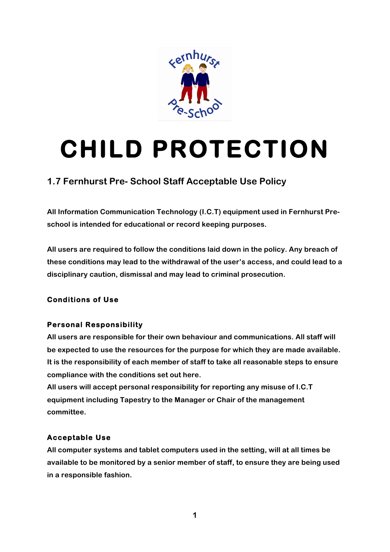

# **CHILD PROTECTION**

## **1.7 Fernhurst Pre- School Staff Acceptable Use Policy**

**All Information Communication Technology (I.C.T) equipment used in Fernhurst Preschool is intended for educational or record keeping purposes.**

**All users are required to follow the conditions laid down in the policy. Any breach of these conditions may lead to the withdrawal of the user's access, and could lead to a disciplinary caution, dismissal and may lead to criminal prosecution.**

### **Conditions of Use**

### **Personal Responsibility**

**All users are responsible for their own behaviour and communications. All staff will be expected to use the resources for the purpose for which they are made available. It is the responsibility of each member of staff to take all reasonable steps to ensure compliance with the conditions set out here.**

**All users will accept personal responsibility for reporting any misuse of I.C.T equipment including Tapestry to the Manager or Chair of the management committee.**

### **Acceptable Use**

**All computer systems and tablet computers used in the setting, will at all times be available to be monitored by a senior member of staff, to ensure they are being used in a responsible fashion.**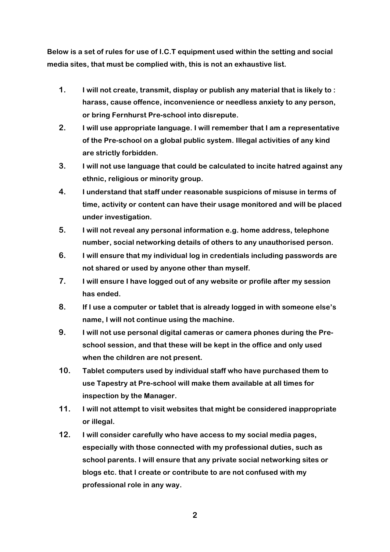**Below is a set of rules for use of I.C.T equipment used within the setting and social media sites, that must be complied with, this is not an exhaustive list.**

- **1. I will not create, transmit, display or publish any material that is likely to : harass, cause offence, inconvenience or needless anxiety to any person, or bring Fernhurst Pre-school into disrepute.**
- **2. I will use appropriate language. I will remember that I am a representative of the Pre-school on a global public system. Illegal activities of any kind are strictly forbidden.**
- **3. I will not use language that could be calculated to incite hatred against any ethnic, religious or minority group.**
- **4. I understand that staff under reasonable suspicions of misuse in terms of time, activity or content can have their usage monitored and will be placed under investigation.**
- **5. I will not reveal any personal information e.g. home address, telephone number, social networking details of others to any unauthorised person.**
- **6. I will ensure that my individual log in credentials including passwords are not shared or used by anyone other than myself.**
- **7. I will ensure I have logged out of any website or profile after my session has ended.**
- **8. If I use a computer or tablet that is already logged in with someone else's name, I will not continue using the machine.**
- **9. I will not use personal digital cameras or camera phones during the Preschool session, and that these will be kept in the office and only used when the children are not present.**
- **10. Tablet computers used by individual staff who have purchased them to use Tapestry at Pre-school will make them available at all times for inspection by the Manager.**
- **11. I will not attempt to visit websites that might be considered inappropriate or illegal.**
- **12. I will consider carefully who have access to my social media pages, especially with those connected with my professional duties, such as school parents. I will ensure that any private social networking sites or blogs etc. that I create or contribute to are not confused with my professional role in any way.**